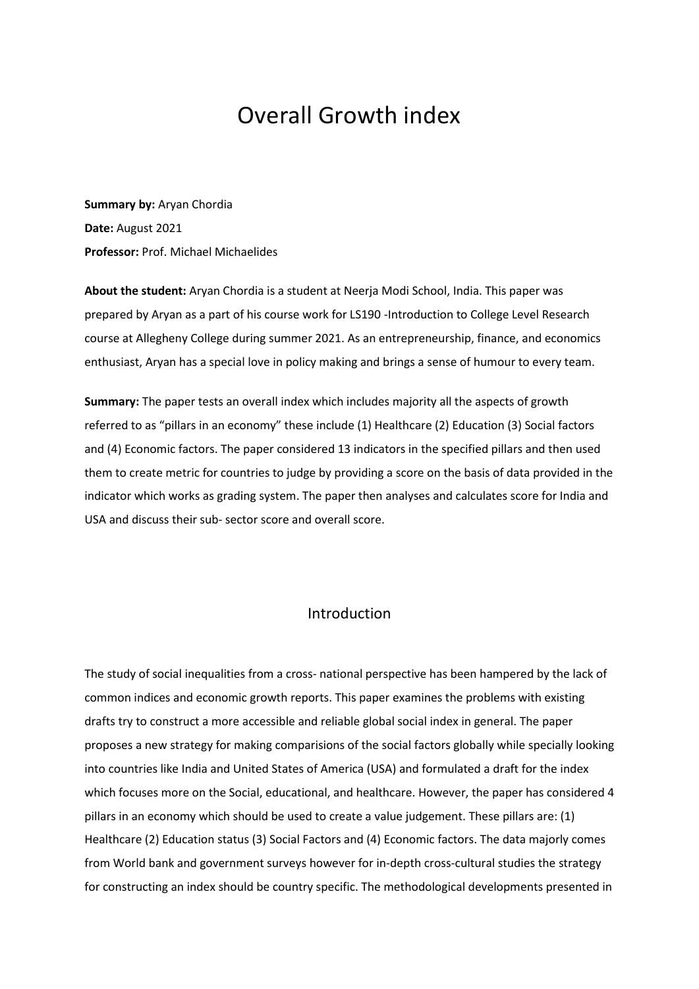# Overall Growth index

**Summary by:** Aryan Chordia **Date:** August 2021 **Professor:** Prof. Michael Michaelides

**About the student:** Aryan Chordia is a student at Neerja Modi School, India. This paper was prepared by Aryan as a part of his course work for LS190 -Introduction to College Level Research course at Allegheny College during summer 2021. As an entrepreneurship, finance, and economics enthusiast, Aryan has a special love in policy making and brings a sense of humour to every team.

**Summary:** The paper tests an overall index which includes majority all the aspects of growth referred to as "pillars in an economy" these include (1) Healthcare (2) Education (3) Social factors and (4) Economic factors. The paper considered 13 indicators in the specified pillars and then used them to create metric for countries to judge by providing a score on the basis of data provided in the indicator which works as grading system. The paper then analyses and calculates score for India and USA and discuss their sub- sector score and overall score.

## Introduction

The study of social inequalities from a cross- national perspective has been hampered by the lack of common indices and economic growth reports. This paper examines the problems with existing drafts try to construct a more accessible and reliable global social index in general. The paper proposes a new strategy for making comparisions of the social factors globally while specially looking into countries like India and United States of America (USA) and formulated a draft for the index which focuses more on the Social, educational, and healthcare. However, the paper has considered 4 pillars in an economy which should be used to create a value judgement. These pillars are: (1) Healthcare (2) Education status (3) Social Factors and (4) Economic factors. The data majorly comes from World bank and government surveys however for in-depth cross-cultural studies the strategy for constructing an index should be country specific. The methodological developments presented in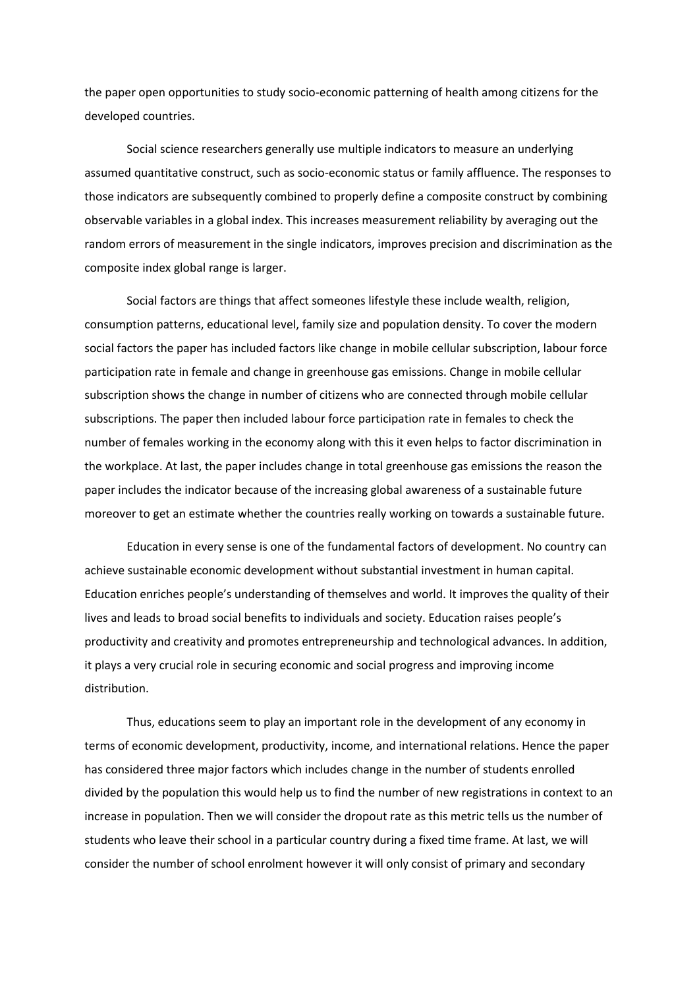the paper open opportunities to study socio-economic patterning of health among citizens for the developed countries.

Social science researchers generally use multiple indicators to measure an underlying assumed quantitative construct, such as socio-economic status or family affluence. The responses to those indicators are subsequently combined to properly define a composite construct by combining observable variables in a global index. This increases measurement reliability by averaging out the random errors of measurement in the single indicators, improves precision and discrimination as the composite index global range is larger.

Social factors are things that affect someones lifestyle these include wealth, religion, consumption patterns, educational level, family size and population density. To cover the modern social factors the paper has included factors like change in mobile cellular subscription, labour force participation rate in female and change in greenhouse gas emissions. Change in mobile cellular subscription shows the change in number of citizens who are connected through mobile cellular subscriptions. The paper then included labour force participation rate in females to check the number of females working in the economy along with this it even helps to factor discrimination in the workplace. At last, the paper includes change in total greenhouse gas emissions the reason the paper includes the indicator because of the increasing global awareness of a sustainable future moreover to get an estimate whether the countries really working on towards a sustainable future.

Education in every sense is one of the fundamental factors of development. No country can achieve sustainable economic development without substantial investment in human capital. Education enriches people's understanding of themselves and world. It improves the quality of their lives and leads to broad social benefits to individuals and society. Education raises people's productivity and creativity and promotes entrepreneurship and technological advances. In addition, it plays a very crucial role in securing economic and social progress and improving income distribution.

Thus, educations seem to play an important role in the development of any economy in terms of economic development, productivity, income, and international relations. Hence the paper has considered three major factors which includes change in the number of students enrolled divided by the population this would help us to find the number of new registrations in context to an increase in population. Then we will consider the dropout rate as this metric tells us the number of students who leave their school in a particular country during a fixed time frame. At last, we will consider the number of school enrolment however it will only consist of primary and secondary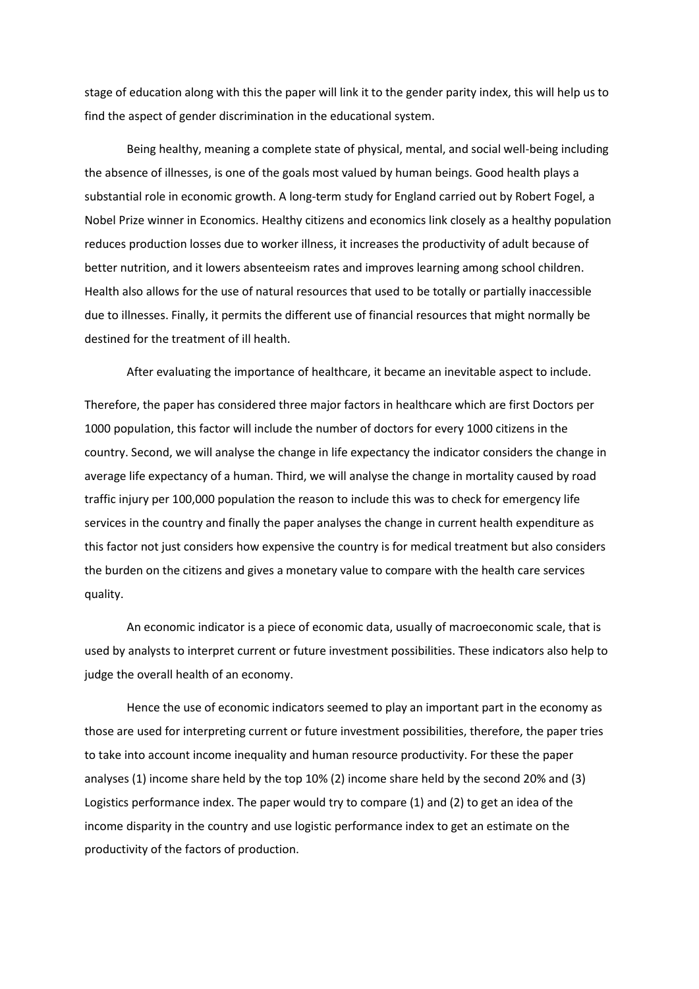stage of education along with this the paper will link it to the gender parity index, this will help us to find the aspect of gender discrimination in the educational system.

Being healthy, meaning a complete state of physical, mental, and social well-being including the absence of illnesses, is one of the goals most valued by human beings. Good health plays a substantial role in economic growth. A long-term study for England carried out by Robert Fogel, a Nobel Prize winner in Economics. Healthy citizens and economics link closely as a healthy population reduces production losses due to worker illness, it increases the productivity of adult because of better nutrition, and it lowers absenteeism rates and improves learning among school children. Health also allows for the use of natural resources that used to be totally or partially inaccessible due to illnesses. Finally, it permits the different use of financial resources that might normally be destined for the treatment of ill health.

After evaluating the importance of healthcare, it became an inevitable aspect to include.

Therefore, the paper has considered three major factors in healthcare which are first Doctors per 1000 population, this factor will include the number of doctors for every 1000 citizens in the country. Second, we will analyse the change in life expectancy the indicator considers the change in average life expectancy of a human. Third, we will analyse the change in mortality caused by road traffic injury per 100,000 population the reason to include this was to check for emergency life services in the country and finally the paper analyses the change in current health expenditure as this factor not just considers how expensive the country is for medical treatment but also considers the burden on the citizens and gives a monetary value to compare with the health care services quality.

An economic indicator is a piece of economic data, usually of macroeconomic scale, that is used by analysts to interpret current or future investment possibilities. These indicators also help to judge the overall health of an economy.

Hence the use of economic indicators seemed to play an important part in the economy as those are used for interpreting current or future investment possibilities, therefore, the paper tries to take into account income inequality and human resource productivity. For these the paper analyses (1) income share held by the top 10% (2) income share held by the second 20% and (3) Logistics performance index. The paper would try to compare (1) and (2) to get an idea of the income disparity in the country and use logistic performance index to get an estimate on the productivity of the factors of production.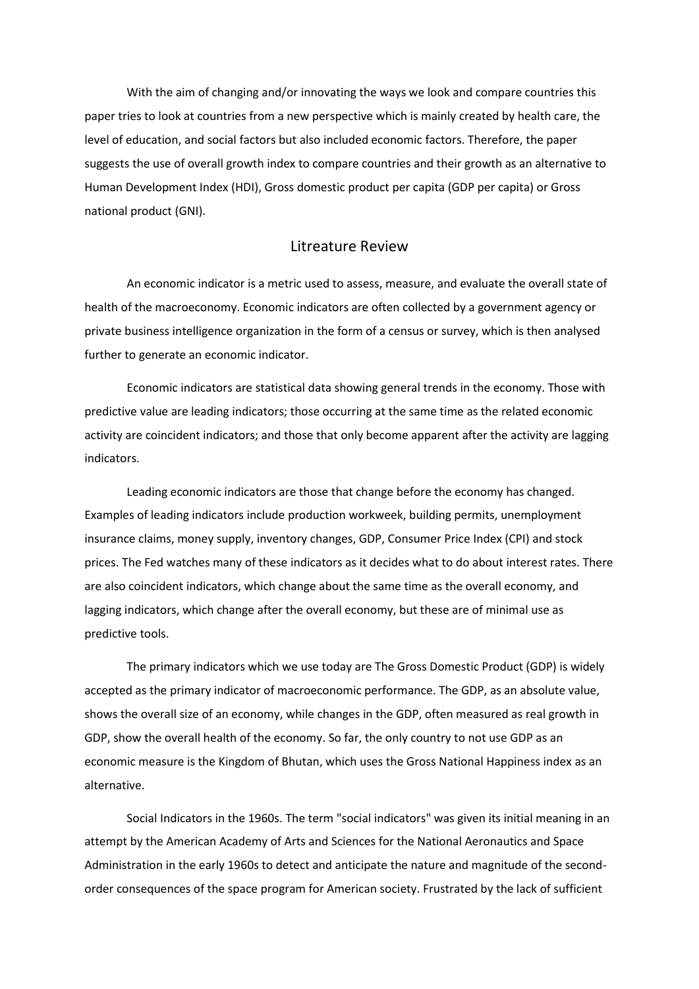With the aim of changing and/or innovating the ways we look and compare countries this paper tries to look at countries from a new perspective which is mainly created by health care, the level of education, and social factors but also included economic factors. Therefore, the paper suggests the use of overall growth index to compare countries and their growth as an alternative to Human Development Index (HDI), Gross domestic product per capita (GDP per capita) or Gross national product (GNI).

## Litreature Review

An economic indicator is a metric used to assess, measure, and evaluate the overall state of health of the macroeconomy. Economic indicators are often collected by a government agency or private business intelligence organization in the form of a census or survey, which is then analysed further to generate an economic indicator.

Economic indicators are statistical data showing general trends in the economy. Those with predictive value are leading indicators; those occurring at the same time as the related economic activity are coincident indicators; and those that only become apparent after the activity are lagging indicators.

Leading economic indicators are those that change before the economy has changed. Examples of leading indicators include production workweek, building permits, unemployment insurance claims, money supply, inventory changes, GDP, Consumer Price Index (CPI) and stock prices. The Fed watches many of these indicators as it decides what to do about interest rates. There are also coincident indicators, which change about the same time as the overall economy, and lagging indicators, which change after the overall economy, but these are of minimal use as predictive tools.

The primary indicators which we use today are The Gross Domestic Product (GDP) is widely accepted as the primary indicator of macroeconomic performance. The GDP, as an absolute value, shows the overall size of an economy, while changes in the GDP, often measured as real growth in GDP, show the overall health of the economy. So far, the only country to not use GDP as an economic measure is the Kingdom of Bhutan, which uses the Gross National Happiness index as an alternative.

Social Indicators in the 1960s. The term "social indicators" was given its initial meaning in an attempt by the [American Academy of Arts and Sciences](https://www.encyclopedia.com/literature-and-arts/art-and-architecture/american-art/american-academy-arts-and-sciences) for the National Aeronautics and Space Administration in the early 1960s to detect and anticipate the nature and magnitude of the secondorder consequences of the space program for American society. Frustrated by the lack of sufficient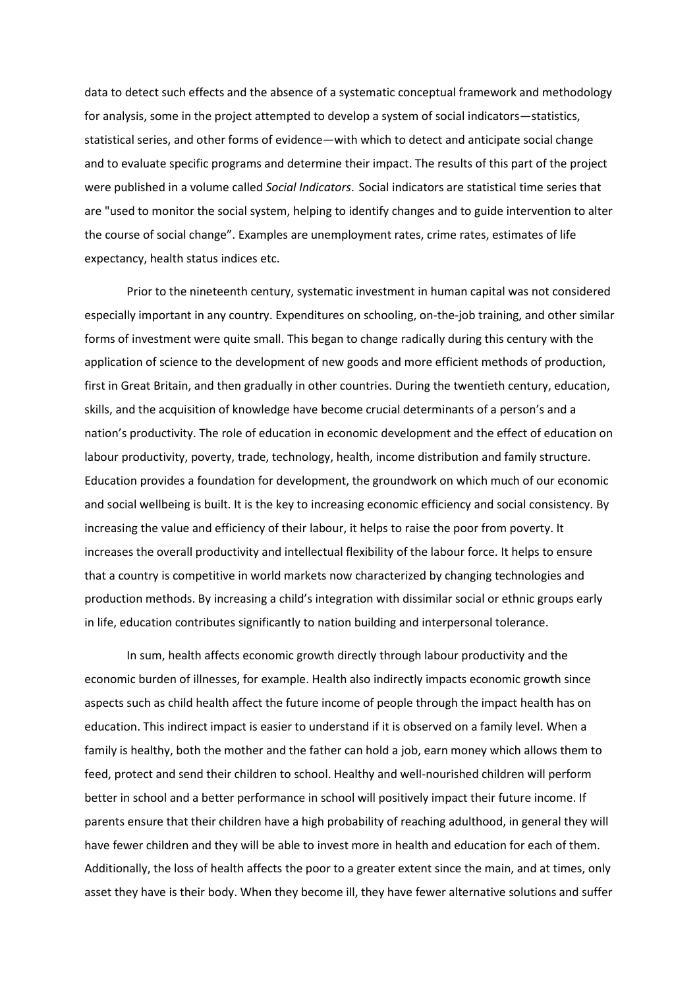data to detect such effects and the absence of a systematic conceptual framework and methodology for analysis, some in the project attempted to develop a system of social indicators—statistics, statistical series, and other forms of evidence—with which to detect and anticipate social change and to evaluate specific programs and determine their impact. The results of this part of the project were published in a volume called *Social Indicators*. Social indicators are statistical time series that are "used to monitor the social system, helping to identify changes and to guide intervention to alter the course of social change". Examples are unemployment rates, crime rates, estimates of life expectancy, health status indices etc.

Prior to the nineteenth century, systematic investment in human capital was not considered especially important in any country. Expenditures on schooling, on-the-job training, and other similar forms of investment were quite small. This began to change radically during this century with the application of science to the development of new goods and more efficient methods of production, first in Great Britain, and then gradually in other countries. During the twentieth century, education, skills, and the acquisition of knowledge have become crucial determinants of a person's and a nation's productivity. The role of education in economic development and the effect of education on labour productivity, poverty, trade, technology, health, income distribution and family structure. Education provides a foundation for development, the groundwork on which much of our economic and social wellbeing is built. It is the key to increasing economic efficiency and social consistency. By increasing the value and efficiency of their labour, it helps to raise the poor from poverty. It increases the overall productivity and intellectual flexibility of the labour force. It helps to ensure that a country is competitive in world markets now characterized by changing technologies and production methods. By increasing a child's integration with dissimilar social or ethnic groups early in life, education contributes significantly to nation building and interpersonal tolerance.

In sum, health affects economic growth directly through labour productivity and the economic burden of illnesses, for example. Health also indirectly impacts economic growth since aspects such as child health affect the future income of people through the impact health has on education. This indirect impact is easier to understand if it is observed on a family level. When a family is healthy, both the mother and the father can hold a job, earn money which allows them to feed, protect and send their children to school. Healthy and well-nourished children will perform better in school and a better performance in school will positively impact their future income. If parents ensure that their children have a high probability of reaching adulthood, in general they will have fewer children and they will be able to invest more in health and education for each of them. Additionally, the loss of health affects the poor to a greater extent since the main, and at times, only asset they have is their body. When they become ill, they have fewer alternative solutions and suffer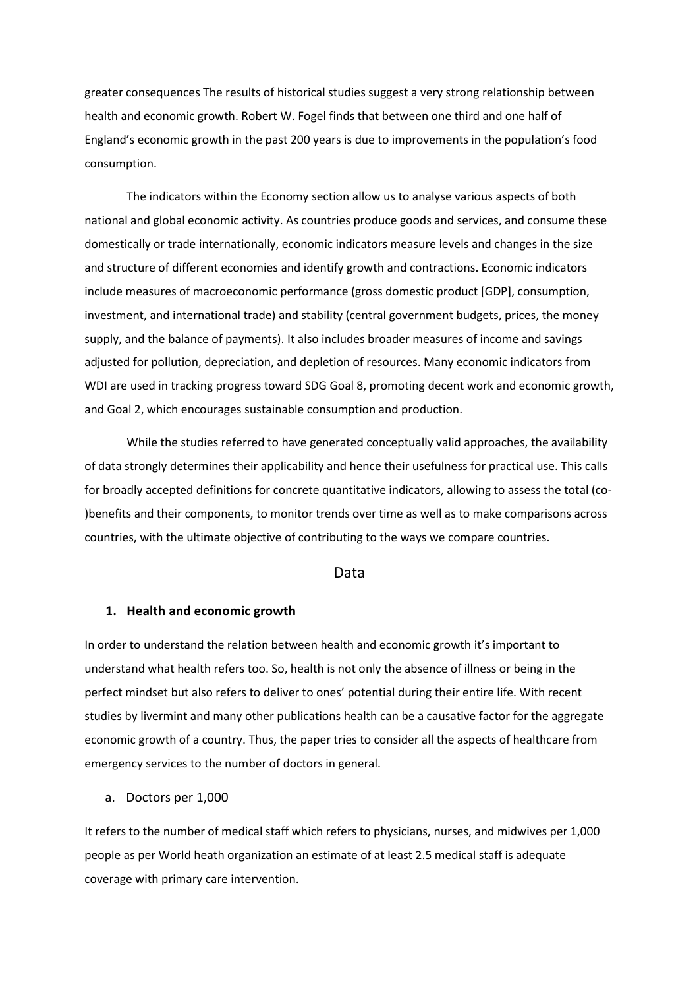greater consequences The results of historical studies suggest a very strong relationship between health and economic growth. Robert W. Fogel finds that between one third and one half of England's economic growth in the past 200 years is due to improvements in the population's food consumption.

The indicators within the Economy section allow us to analyse various aspects of both national and global economic activity. As countries produce goods and services, and consume these domestically or trade internationally, economic indicators measure levels and changes in the size and structure of different economies and identify growth and contractions. Economic indicators include measures of macroeconomic performance (gross domestic product [GDP], consumption, investment, and international trade) and stability (central government budgets, prices, the money supply, and the balance of payments). It also includes broader measures of income and savings adjusted for pollution, depreciation, and depletion of resources. Many economic indicators from WDI are used in tracking progress toward SDG Goal 8, promoting decent work and economic growth, and Goal 2, which encourages sustainable consumption and production.

While the studies referred to have generated conceptually valid approaches, the availability of data strongly determines their applicability and hence their usefulness for practical use. This calls for broadly accepted definitions for concrete quantitative indicators, allowing to assess the total (co- )benefits and their components, to monitor trends over time as well as to make comparisons across countries, with the ultimate objective of contributing to the ways we compare countries.

### Data

#### **1. Health and economic growth**

In order to understand the relation between health and economic growth it's important to understand what health refers too. So, health is not only the absence of illness or being in the perfect mindset but also refers to deliver to ones' potential during their entire life. With recent studies by livermint and many other publications health can be a causative factor for the aggregate economic growth of a country. Thus, the paper tries to consider all the aspects of healthcare from emergency services to the number of doctors in general.

a. Doctors per 1,000

It refers to the number of medical staff which refers to physicians, nurses, and midwives per 1,000 people as per World heath organization an estimate of at least 2.5 medical staff is adequate coverage with primary care intervention.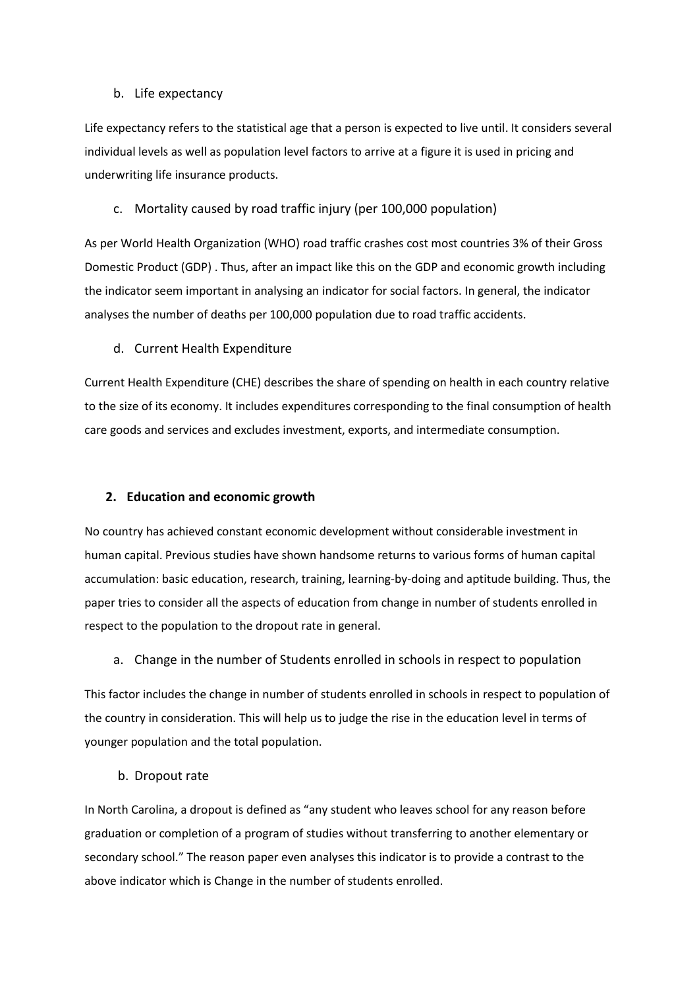## b. Life expectancy

Life expectancy refers to the statistical age that a person is expected to live until. It considers several individual levels as well as population level factors to arrive at a figure it is used in pricing and underwriting life insurance products.

#### c. Mortality caused by road traffic injury (per 100,000 population)

As per World Health Organization (WHO) road traffic crashes cost most countries 3% of their Gross Domestic Product (GDP) . Thus, after an impact like this on the GDP and economic growth including the indicator seem important in analysing an indicator for social factors. In general, the indicator analyses the number of deaths per 100,000 population due to road traffic accidents.

### d. Current Health Expenditure

Current Health Expenditure (CHE) describes the share of spending on health in each country relative to the size of its economy. It includes expenditures corresponding to the final consumption of health care goods and services and excludes investment, exports, and intermediate consumption.

### **2. Education and economic growth**

No country has achieved constant economic development without considerable investment in human capital. Previous studies have shown handsome returns to various forms of human capital accumulation: basic education, research, training, learning-by-doing and aptitude building. Thus, the paper tries to consider all the aspects of education from change in number of students enrolled in respect to the population to the dropout rate in general.

a. Change in the number of Students enrolled in schools in respect to population

This factor includes the change in number of students enrolled in schools in respect to population of the country in consideration. This will help us to judge the rise in the education level in terms of younger population and the total population.

#### b. Dropout rate

In North Carolina, a dropout is defined as "any student who leaves school for any reason before graduation or completion of a program of studies without transferring to another elementary or secondary school." The reason paper even analyses this indicator is to provide a contrast to the above indicator which is Change in the number of students enrolled.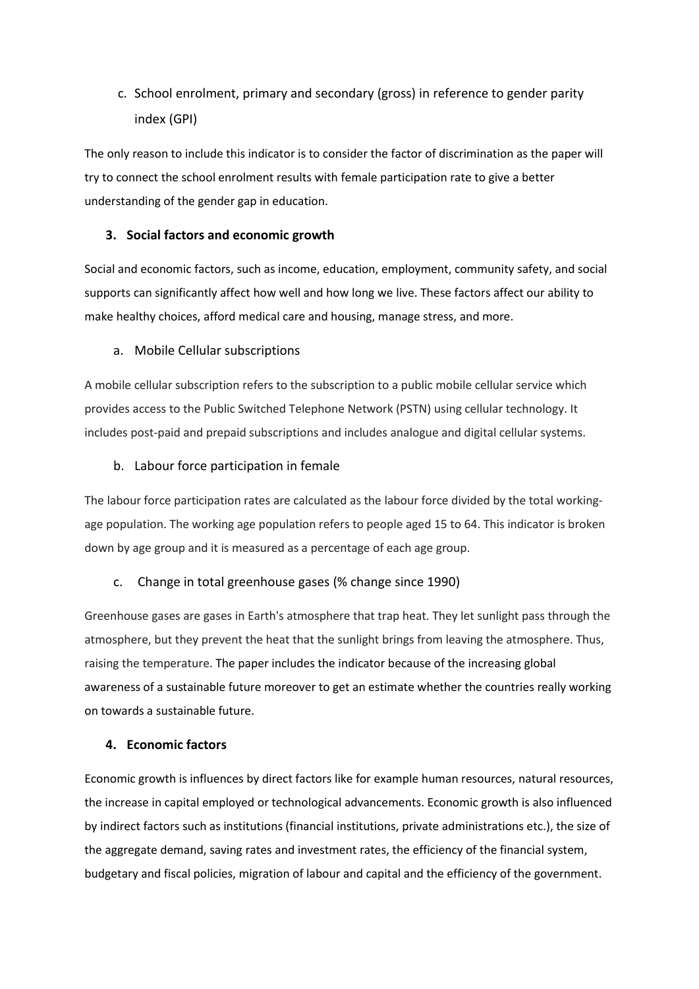## c. School enrolment, primary and secondary (gross) in reference to gender parity index (GPI)

The only reason to include this indicator is to consider the factor of discrimination as the paper will try to connect the school enrolment results with female participation rate to give a better understanding of the gender gap in education.

## **3. Social factors and economic growth**

Social and economic factors, such as income, education, employment, community safety, and social supports can significantly affect how well and how long we live. These factors affect our ability to make healthy choices, afford medical care and housing, manage stress, and more.

## a. Mobile Cellular subscriptions

A mobile cellular subscription refers to the subscription to a public mobile cellular service which provides access to the Public Switched Telephone Network (PSTN) using cellular technology. It includes post-paid and prepaid subscriptions and includes analogue and digital cellular systems.

## b. Labour force participation in female

The labour force participation rates are calculated as the labour force divided by the total workingage population. The working age population refers to people aged 15 to 64. This indicator is broken down by age group and it is measured as a percentage of each age group.

## c. Change in total greenhouse gases (% change since 1990)

Greenhouse gases are gases in Earth's atmosphere that trap heat. They let sunlight pass through the atmosphere, but they prevent the heat that the sunlight brings from leaving the atmosphere. Thus, raising the temperature. The paper includes the indicator because of the increasing global awareness of a sustainable future moreover to get an estimate whether the countries really working on towards a sustainable future.

## **4. Economic factors**

Economic growth is influences by direct factors like for example human resources, natural resources, the increase in capital employed or technological advancements. Economic growth is also influenced by indirect factors such as institutions (financial institutions, private administrations etc.), the size of the aggregate demand, saving rates and investment rates, the efficiency of the financial system, budgetary and fiscal policies, migration of labour and capital and the efficiency of the government.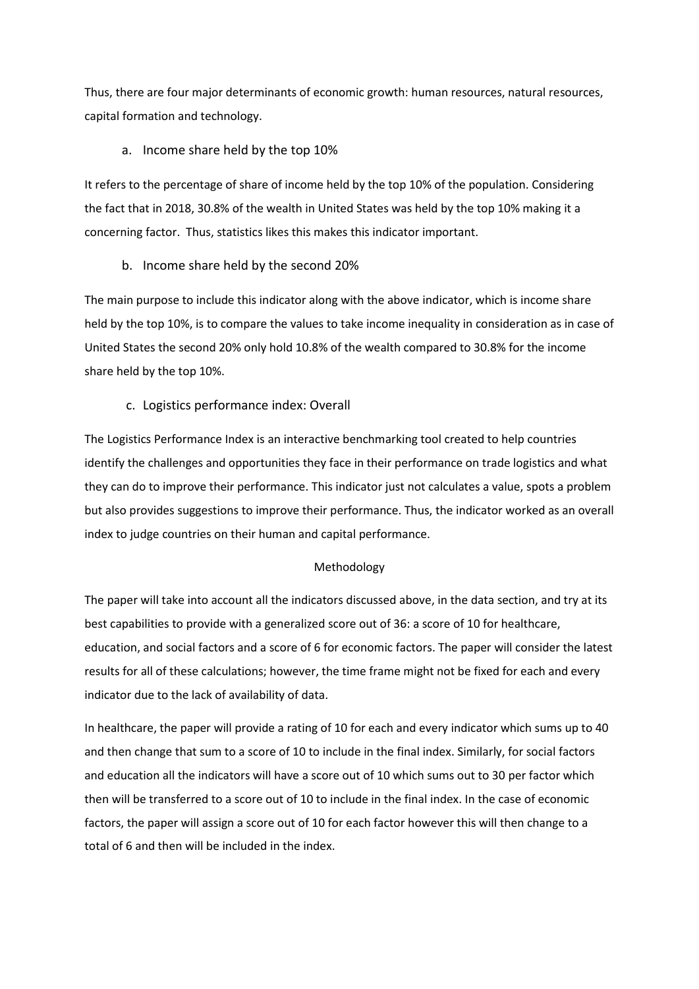Thus, there are four major determinants of economic growth: human resources, natural resources, capital formation and technology.

## a. Income share held by the top 10%

It refers to the percentage of share of income held by the top 10% of the population. Considering the fact that in 2018, 30.8% of the wealth in United States was held by the top 10% making it a concerning factor. Thus, statistics likes this makes this indicator important.

### b. Income share held by the second 20%

The main purpose to include this indicator along with the above indicator, which is income share held by the top 10%, is to compare the values to take income inequality in consideration as in case of United States the second 20% only hold 10.8% of the wealth compared to 30.8% for the income share held by the top 10%.

### c. Logistics performance index: Overall

The Logistics Performance Index is an interactive benchmarking tool created to help countries identify the challenges and opportunities they face in their performance on trade logistics and what they can do to improve their performance. This indicator just not calculates a value, spots a problem but also provides suggestions to improve their performance. Thus, the indicator worked as an overall index to judge countries on their human and capital performance.

#### Methodology

The paper will take into account all the indicators discussed above, in the data section, and try at its best capabilities to provide with a generalized score out of 36: a score of 10 for healthcare, education, and social factors and a score of 6 for economic factors. The paper will consider the latest results for all of these calculations; however, the time frame might not be fixed for each and every indicator due to the lack of availability of data.

In healthcare, the paper will provide a rating of 10 for each and every indicator which sums up to 40 and then change that sum to a score of 10 to include in the final index. Similarly, for social factors and education all the indicators will have a score out of 10 which sums out to 30 per factor which then will be transferred to a score out of 10 to include in the final index. In the case of economic factors, the paper will assign a score out of 10 for each factor however this will then change to a total of 6 and then will be included in the index.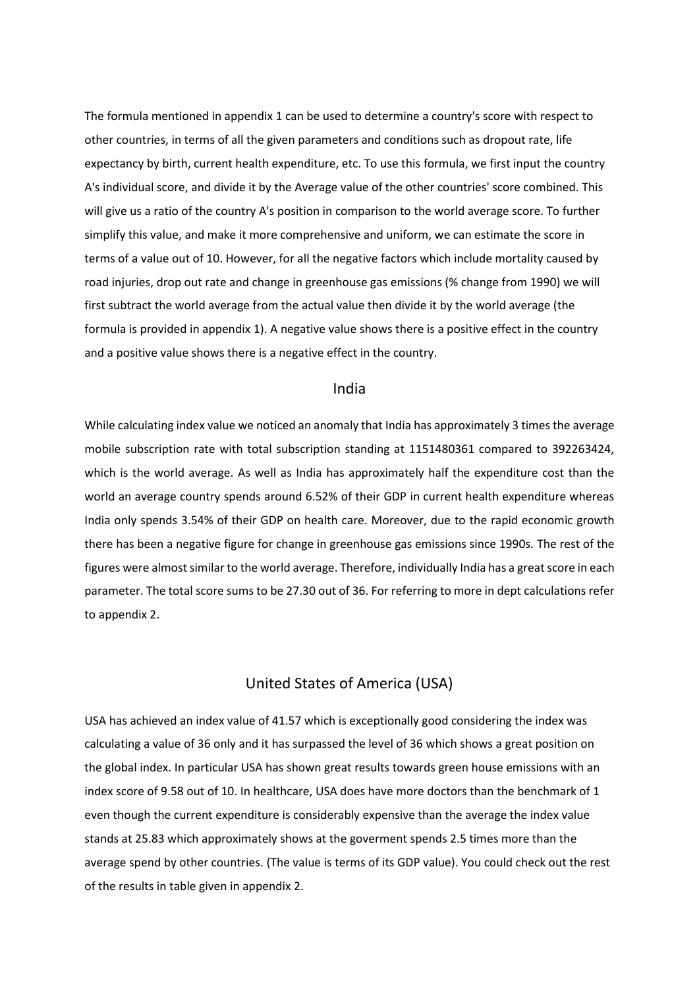The formula mentioned in appendix 1 can be used to determine a country's score with respect to other countries, in terms of all the given parameters and conditions such as dropout rate, life expectancy by birth, current health expenditure, etc. To use this formula, we first input the country A's individual score, and divide it by the Average value of the other countries' score combined. This will give us a ratio of the country A's position in comparison to the world average score. To further simplify this value, and make it more comprehensive and uniform, we can estimate the score in terms of a value out of 10. However, for all the negative factors which include mortality caused by road injuries, drop out rate and change in greenhouse gas emissions (% change from 1990) we will first subtract the world average from the actual value then divide it by the world average (the formula is provided in appendix 1). A negative value shows there is a positive effect in the country and a positive value shows there is a negative effect in the country.

## India

While calculating index value we noticed an anomaly that India has approximately 3 times the average mobile subscription rate with total subscription standing at 1151480361 compared to 392263424, which is the world average. As well as India has approximately half the expenditure cost than the world an average country spends around 6.52% of their GDP in current health expenditure whereas India only spends 3.54% of their GDP on health care. Moreover, due to the rapid economic growth there has been a negative figure for change in greenhouse gas emissions since 1990s. The rest of the figures were almost similar to the world average. Therefore, individually India has a great score in each parameter. The total score sums to be 27.30 out of 36. For referring to more in dept calculations refer to appendix 2.

## United States of America (USA)

USA has achieved an index value of 41.57 which is exceptionally good considering the index was calculating a value of 36 only and it has surpassed the level of 36 which shows a great position on the global index. In particular USA has shown great results towards green house emissions with an index score of 9.58 out of 10. In healthcare, USA does have more doctors than the benchmark of 1 even though the current expenditure is considerably expensive than the average the index value stands at 25.83 which approximately shows at the goverment spends 2.5 times more than the average spend by other countries. (The value is terms of its GDP value). You could check out the rest of the results in table given in appendix 2.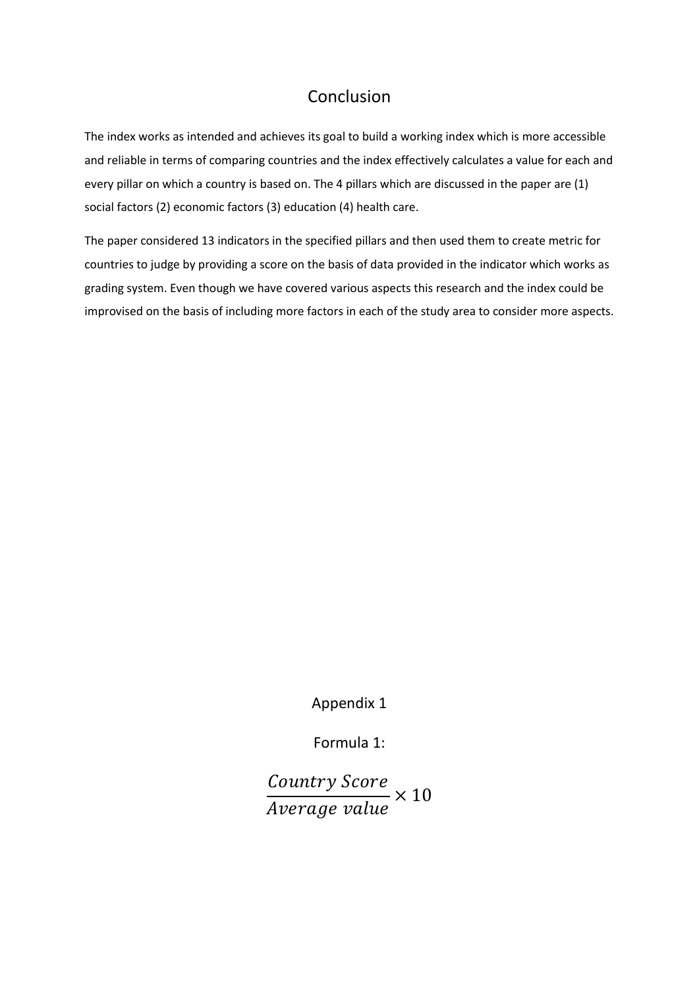## Conclusion

The index works as intended and achieves its goal to build a working index which is more accessible and reliable in terms of comparing countries and the index effectively calculates a value for each and every pillar on which a country is based on. The 4 pillars which are discussed in the paper are (1) social factors (2) economic factors (3) education (4) health care.

The paper considered 13 indicators in the specified pillars and then used them to create metric for countries to judge by providing a score on the basis of data provided in the indicator which works as grading system. Even though we have covered various aspects this research and the index could be improvised on the basis of including more factors in each of the study area to consider more aspects.

Appendix 1

Formula 1:

Country Score  $\frac{1}{Average \ value} \times 10$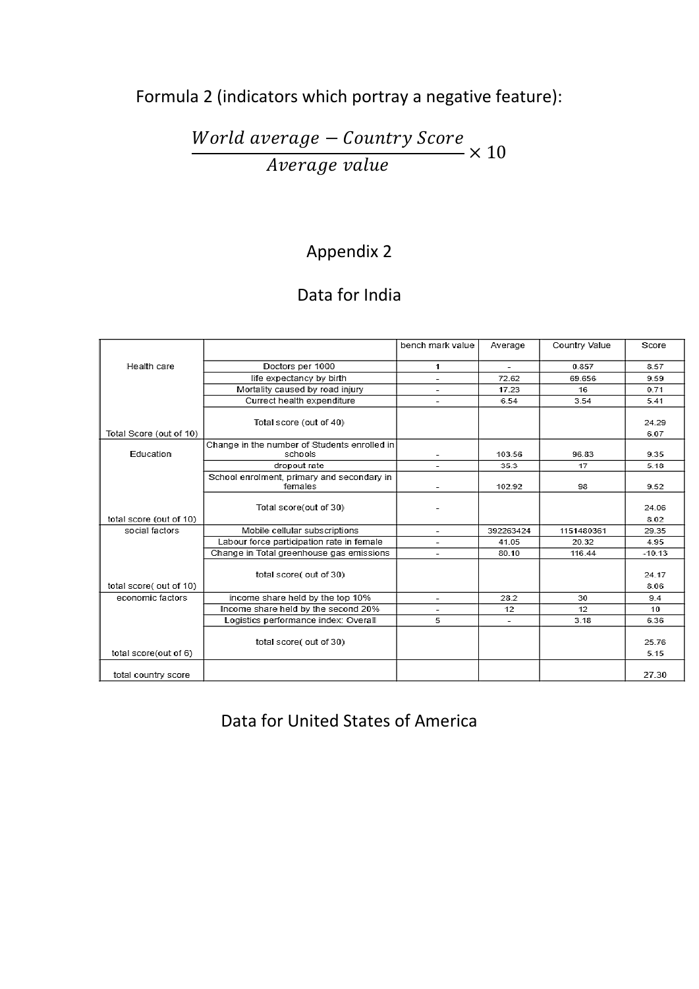# Formula 2 (indicators which portray a negative feature):

World average - Country Score  $\frac{1}{\text{Average value}} \times 10$ 

# Appendix 2

# Data for India

|                         |                                                         | bench mark value         | Average                  | Country Value | Score         |
|-------------------------|---------------------------------------------------------|--------------------------|--------------------------|---------------|---------------|
| Health care             | Doctors per 1000                                        | 1                        | $\overline{\phantom{a}}$ | 0.857         | 8.57          |
|                         | life expectancy by birth                                |                          | 72.62                    | 69.656        | 9.59          |
|                         | Mortality caused by road injury                         | $\overline{\phantom{a}}$ | 17.23                    | 16            | 0.71          |
|                         | Currect health expenditure                              | ÷                        | 6.54                     | 3.54          | 5.41          |
|                         | Total score (out of 40)                                 |                          |                          |               | 24.29         |
| Total Score (out of 10) |                                                         |                          |                          |               | 6.07          |
| Education               | Change in the number of Students enrolled in<br>schools |                          | 103.56                   | 96.83         | 9.35          |
|                         | dropout rate                                            |                          | 35.3                     | 17            | 5.18          |
|                         | School enrolment, primary and secondary in<br>females   | $\overline{\phantom{a}}$ | 102.92                   | 98            | 9.52          |
|                         | Total score(out of 30)                                  |                          |                          |               | 24.06         |
| total score (out of 10) |                                                         |                          |                          |               | 8.02          |
| social factors          | Mobile cellular subscriptions                           | ÷                        | 392263424                | 1151480361    | 29.35         |
|                         | Labour force participation rate in female               | -                        | 41.05                    | 20.32         | 4.95          |
|                         | Change in Total greenhouse gas emissions                |                          | 80.10                    | 116.44        | $-10.13$      |
|                         | total score( out of 30)                                 |                          |                          |               | 24.17         |
| total score( out of 10) |                                                         |                          |                          |               | 8.06          |
| economic factors        | income share held by the top 10%                        | $\overline{\phantom{a}}$ | 28.2                     | 30            | 9.4           |
|                         | Income share held by the second 20%                     |                          | 12                       | 12            | 10            |
|                         | Logistics performance index: Overall                    | 5                        | $\overline{\phantom{a}}$ | 3.18          | 6.36          |
| total score(out of 6)   | total score( out of 30)                                 |                          |                          |               | 25.76<br>5.15 |
| total country score     |                                                         |                          |                          |               | 27.30         |

Data for United States of America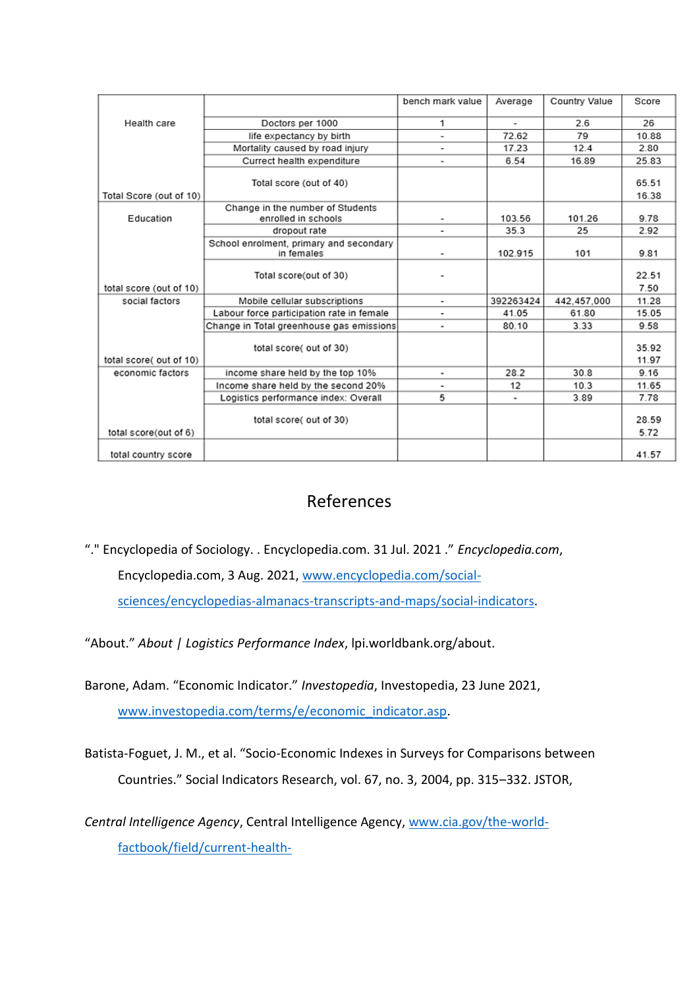|                         |                                                         | bench mark value         | Average   | Country Value | Score          |
|-------------------------|---------------------------------------------------------|--------------------------|-----------|---------------|----------------|
| Health care             | Doctors per 1000                                        | 1                        |           | 2.6           | 26             |
|                         | life expectancy by birth                                | $\overline{\phantom{0}}$ | 72.62     | 79            | 10.88          |
|                         | Mortality caused by road injury                         | $\overline{\phantom{a}}$ | 17.23     | 12.4          | 2.80           |
|                         | Currect health expenditure                              |                          | 6.54      | 16.89         | 25.83          |
|                         | Total score (out of 40)                                 |                          |           |               | 65.51          |
| Total Score (out of 10) |                                                         |                          |           |               | 16.38          |
| Education               | Change in the number of Students<br>enrolled in schools | ٠                        | 103.56    | 101.26        | 9.78           |
|                         | dropout rate                                            | ٠                        | 35.3      | 25            | 2.92           |
|                         | School enrolment, primary and secondary<br>in females   | ۰                        | 102.915   | 101           | 9.81           |
|                         | Total score(out of 30)                                  |                          |           |               | 22.51          |
| total score (out of 10) |                                                         |                          |           |               | 7.50           |
| social factors          | Mobile cellular subscriptions                           | ۰                        | 392263424 | 442,457,000   | 11.28          |
|                         | Labour force participation rate in female               | ۰                        | 41.05     | 61.80         | 15.05          |
|                         | Change in Total greenhouse gas emissions                | $\blacksquare$           | 80.10     | 3.33          | 9.58           |
| total score( out of 10) | total score( out of 30)                                 |                          |           |               | 35.92<br>11.97 |
| economic factors        | income share held by the top 10%                        | ۰                        | 28.2      | 30.8          | 9.16           |
|                         | Income share held by the second 20%                     | ٠                        | 12        | 10.3          | 11.65          |
|                         | Logistics performance index: Overall                    | 5                        |           | 3.89          | 7.78           |
| total score(out of 6)   | total score( out of 30)                                 |                          |           |               | 28.59<br>5.72  |
| total country score     |                                                         |                          |           |               | 41.57          |

## References

"." Encyclopedia of Sociology. . Encyclopedia.com. 31 Jul. 2021 ." *Encyclopedia.com*,

Encyclopedia.com, 3 Aug. 2021, [www.encyclopedia.com/social-](http://www.encyclopedia.com/social-sciences/encyclopedias-almanacs-transcripts-and-maps/social-indicators)

[sciences/encyclopedias-almanacs-transcripts-and-maps/social-indicators.](http://www.encyclopedia.com/social-sciences/encyclopedias-almanacs-transcripts-and-maps/social-indicators)

"About." *About | Logistics Performance Index*, lpi.worldbank.org/about.

Barone, Adam. "Economic Indicator." *Investopedia*, Investopedia, 23 June 2021, [www.investopedia.com/terms/e/economic\\_indicator.asp.](http://www.investopedia.com/terms/e/economic_indicator.asp)

Batista-Foguet, J. M., et al. "Socio-Economic Indexes in Surveys for Comparisons between Countries." Social Indicators Research, vol. 67, no. 3, 2004, pp. 315–332. JSTOR,

*Central Intelligence Agency*, Central Intelligence Agency, [www.cia.gov/the-world](http://www.cia.gov/the-world-factbook/field/current-health-expenditure#:~:text=Current%20Health%20Expenditure%20(CHE)%20describes,%2C%20exports%2C%20and%20intermediate%20consumption)[factbook/field/current-health-](http://www.cia.gov/the-world-factbook/field/current-health-expenditure#:~:text=Current%20Health%20Expenditure%20(CHE)%20describes,%2C%20exports%2C%20and%20intermediate%20consumption)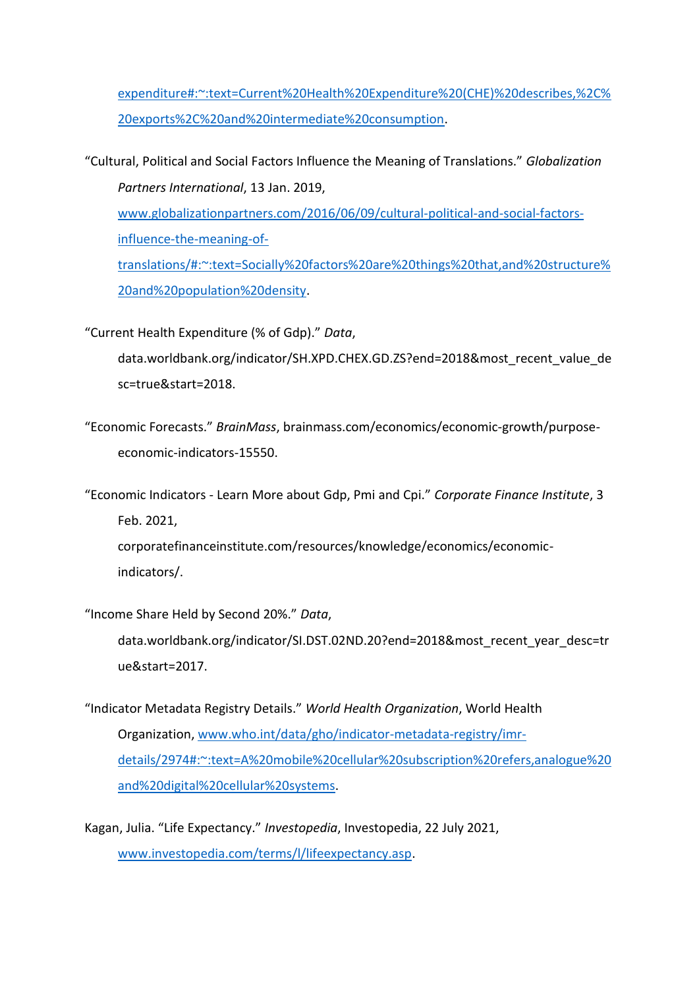[expenditure#:~:text=Current%20Health%20Expenditure%20\(CHE\)%20describes,%2C%](http://www.cia.gov/the-world-factbook/field/current-health-expenditure#:~:text=Current%20Health%20Expenditure%20(CHE)%20describes,%2C%20exports%2C%20and%20intermediate%20consumption) [20exports%2C%20and%20intermediate%20consumption.](http://www.cia.gov/the-world-factbook/field/current-health-expenditure#:~:text=Current%20Health%20Expenditure%20(CHE)%20describes,%2C%20exports%2C%20and%20intermediate%20consumption)

"Cultural, Political and Social Factors Influence the Meaning of Translations." *Globalization Partners International*, 13 Jan. 2019,

[www.globalizationpartners.com/2016/06/09/cultural-political-and-social-factors](http://www.globalizationpartners.com/2016/06/09/cultural-political-and-social-factors-influence-the-meaning-of-translations/#:~:text=Socially%20factors%20are%20things%20that,and%20structure%20and%20population%20density)[influence-the-meaning-of-](http://www.globalizationpartners.com/2016/06/09/cultural-political-and-social-factors-influence-the-meaning-of-translations/#:~:text=Socially%20factors%20are%20things%20that,and%20structure%20and%20population%20density)

[translations/#:~:text=Socially%20factors%20are%20things%20that,and%20structure%](http://www.globalizationpartners.com/2016/06/09/cultural-political-and-social-factors-influence-the-meaning-of-translations/#:~:text=Socially%20factors%20are%20things%20that,and%20structure%20and%20population%20density) [20and%20population%20density.](http://www.globalizationpartners.com/2016/06/09/cultural-political-and-social-factors-influence-the-meaning-of-translations/#:~:text=Socially%20factors%20are%20things%20that,and%20structure%20and%20population%20density)

"Current Health Expenditure (% of Gdp)." *Data*,

data.worldbank.org/indicator/SH.XPD.CHEX.GD.ZS?end=2018&most\_recent\_value\_de sc=true&start=2018.

"Economic Forecasts." *BrainMass*, brainmass.com/economics/economic-growth/purposeeconomic-indicators-15550.

"Economic Indicators - Learn More about Gdp, Pmi and Cpi." *Corporate Finance Institute*, 3 Feb. 2021,

corporatefinanceinstitute.com/resources/knowledge/economics/economicindicators/.

"Income Share Held by Second 20%." *Data*,

data.worldbank.org/indicator/SI.DST.02ND.20?end=2018&most\_recent\_year\_desc=tr ue&start=2017.

- "Indicator Metadata Registry Details." *World Health Organization*, World Health Organization, [www.who.int/data/gho/indicator-metadata-registry/imr](http://www.who.int/data/gho/indicator-metadata-registry/imr-details/2974#:~:text=A%20mobile%20cellular%20subscription%20refers,analogue%20and%20digital%20cellular%20systems)[details/2974#:~:text=A%20mobile%20cellular%20subscription%20refers,analogue%20](http://www.who.int/data/gho/indicator-metadata-registry/imr-details/2974#:~:text=A%20mobile%20cellular%20subscription%20refers,analogue%20and%20digital%20cellular%20systems) [and%20digital%20cellular%20systems.](http://www.who.int/data/gho/indicator-metadata-registry/imr-details/2974#:~:text=A%20mobile%20cellular%20subscription%20refers,analogue%20and%20digital%20cellular%20systems)
- Kagan, Julia. "Life Expectancy." *Investopedia*, Investopedia, 22 July 2021, [www.investopedia.com/terms/l/lifeexpectancy.asp.](http://www.investopedia.com/terms/l/lifeexpectancy.asp)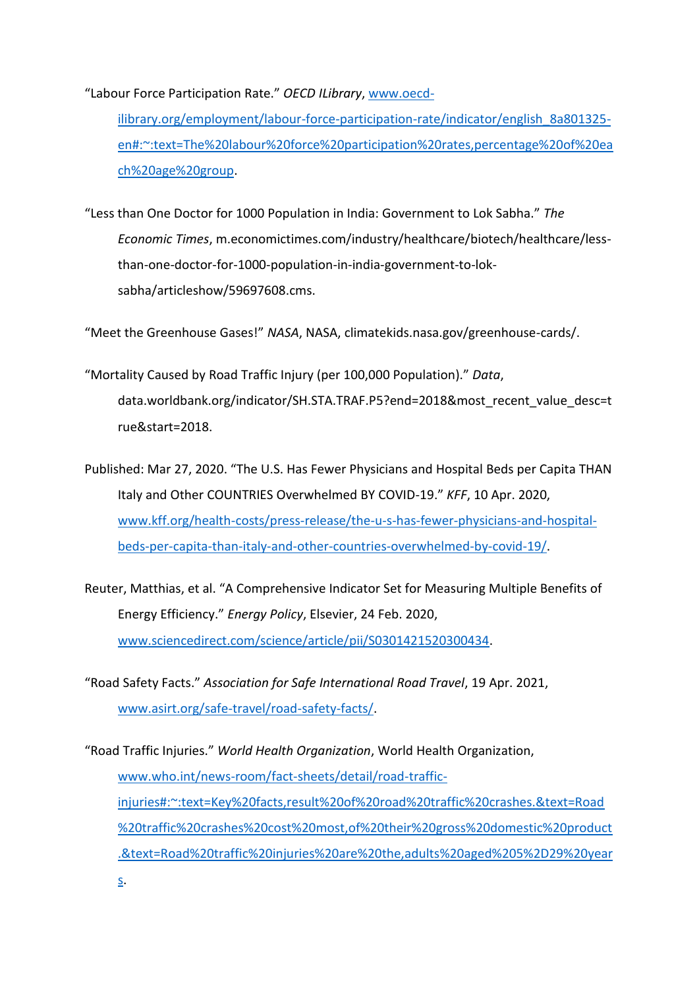"Labour Force Participation Rate." *OECD ILibrary*, [www.oecd-](http://www.oecd-ilibrary.org/employment/labour-force-participation-rate/indicator/english_8a801325-en#:~:text=The%20labour%20force%20participation%20rates,percentage%20of%20each%20age%20group)

[ilibrary.org/employment/labour-force-participation-rate/indicator/english\\_8a801325](http://www.oecd-ilibrary.org/employment/labour-force-participation-rate/indicator/english_8a801325-en#:~:text=The%20labour%20force%20participation%20rates,percentage%20of%20each%20age%20group) [en#:~:text=The%20labour%20force%20participation%20rates,percentage%20of%20ea](http://www.oecd-ilibrary.org/employment/labour-force-participation-rate/indicator/english_8a801325-en#:~:text=The%20labour%20force%20participation%20rates,percentage%20of%20each%20age%20group) [ch%20age%20group.](http://www.oecd-ilibrary.org/employment/labour-force-participation-rate/indicator/english_8a801325-en#:~:text=The%20labour%20force%20participation%20rates,percentage%20of%20each%20age%20group)

"Less than One Doctor for 1000 Population in India: Government to Lok Sabha." *The Economic Times*, m.economictimes.com/industry/healthcare/biotech/healthcare/lessthan-one-doctor-for-1000-population-in-india-government-to-loksabha/articleshow/59697608.cms.

"Meet the Greenhouse Gases!" *NASA*, NASA, climatekids.nasa.gov/greenhouse-cards/.

- "Mortality Caused by Road Traffic Injury (per 100,000 Population)." *Data*, data.worldbank.org/indicator/SH.STA.TRAF.P5?end=2018&most\_recent\_value\_desc=t rue&start=2018.
- Published: Mar 27, 2020. "The U.S. Has Fewer Physicians and Hospital Beds per Capita THAN Italy and Other COUNTRIES Overwhelmed BY COVID-19." *KFF*, 10 Apr. 2020, [www.kff.org/health-costs/press-release/the-u-s-has-fewer-physicians-and-hospital](http://www.kff.org/health-costs/press-release/the-u-s-has-fewer-physicians-and-hospital-beds-per-capita-than-italy-and-other-countries-overwhelmed-by-covid-19/)[beds-per-capita-than-italy-and-other-countries-overwhelmed-by-covid-19/.](http://www.kff.org/health-costs/press-release/the-u-s-has-fewer-physicians-and-hospital-beds-per-capita-than-italy-and-other-countries-overwhelmed-by-covid-19/)
- Reuter, Matthias, et al. "A Comprehensive Indicator Set for Measuring Multiple Benefits of Energy Efficiency." *Energy Policy*, Elsevier, 24 Feb. 2020, [www.sciencedirect.com/science/article/pii/S0301421520300434.](http://www.sciencedirect.com/science/article/pii/S0301421520300434)
- "Road Safety Facts." *Association for Safe International Road Travel*, 19 Apr. 2021, [www.asirt.org/safe-travel/road-safety-facts/.](http://www.asirt.org/safe-travel/road-safety-facts/)

[s.](http://www.who.int/news-room/fact-sheets/detail/road-traffic-injuries#:~:text=Key%20facts,result%20of%20road%20traffic%20crashes.&text=Road%20traffic%20crashes%20cost%20most,of%20their%20gross%20domestic%20product.&text=Road%20traffic%20injuries%20are%20the,adults%20aged%205%2D29%20years)

"Road Traffic Injuries." *World Health Organization*, World Health Organization, [www.who.int/news-room/fact-sheets/detail/road-traffic](http://www.who.int/news-room/fact-sheets/detail/road-traffic-injuries#:~:text=Key%20facts,result%20of%20road%20traffic%20crashes.&text=Road%20traffic%20crashes%20cost%20most,of%20their%20gross%20domestic%20product.&text=Road%20traffic%20injuries%20are%20the,adults%20aged%205%2D29%20years)[injuries#:~:text=Key%20facts,result%20of%20road%20traffic%20crashes.&text=Road](http://www.who.int/news-room/fact-sheets/detail/road-traffic-injuries#:~:text=Key%20facts,result%20of%20road%20traffic%20crashes.&text=Road%20traffic%20crashes%20cost%20most,of%20their%20gross%20domestic%20product.&text=Road%20traffic%20injuries%20are%20the,adults%20aged%205%2D29%20years) [%20traffic%20crashes%20cost%20most,of%20their%20gross%20domestic%20product](http://www.who.int/news-room/fact-sheets/detail/road-traffic-injuries#:~:text=Key%20facts,result%20of%20road%20traffic%20crashes.&text=Road%20traffic%20crashes%20cost%20most,of%20their%20gross%20domestic%20product.&text=Road%20traffic%20injuries%20are%20the,adults%20aged%205%2D29%20years) [.&text=Road%20traffic%20injuries%20are%20the,adults%20aged%205%2D29%20year](http://www.who.int/news-room/fact-sheets/detail/road-traffic-injuries#:~:text=Key%20facts,result%20of%20road%20traffic%20crashes.&text=Road%20traffic%20crashes%20cost%20most,of%20their%20gross%20domestic%20product.&text=Road%20traffic%20injuries%20are%20the,adults%20aged%205%2D29%20years)